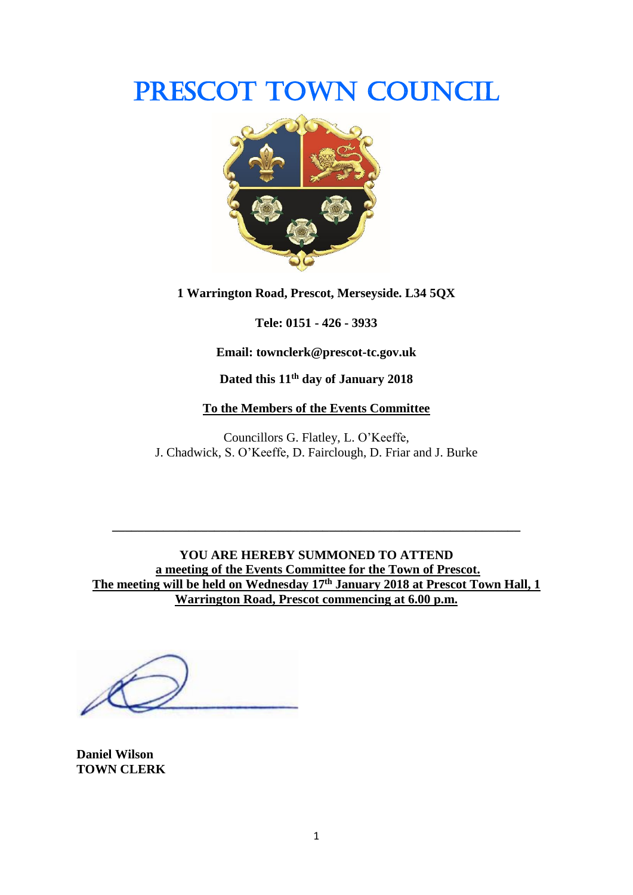# PRESCOT TOWN COUNCIL



**1 Warrington Road, Prescot, Merseyside. L34 5QX**

**Tele: 0151 - 426 - 3933**

**Email: townclerk@prescot-tc.gov.uk**

**Dated this 11 th day of January 2018**

**To the Members of the Events Committee**

Councillors G. Flatley, L. O'Keeffe, J. Chadwick, S. O'Keeffe, D. Fairclough, D. Friar and J. Burke

**YOU ARE HEREBY SUMMONED TO ATTEND a meeting of the Events Committee for the Town of Prescot. The meeting will be held on Wednesday 17th January 2018 at Prescot Town Hall, 1 Warrington Road, Prescot commencing at 6.00 p.m.**

**\_\_\_\_\_\_\_\_\_\_\_\_\_\_\_\_\_\_\_\_\_\_\_\_\_\_\_\_\_\_\_\_\_\_\_\_\_\_\_\_\_\_\_\_\_\_\_\_\_\_\_\_\_\_\_\_\_\_\_\_\_\_\_\_**

**Daniel Wilson TOWN CLERK**